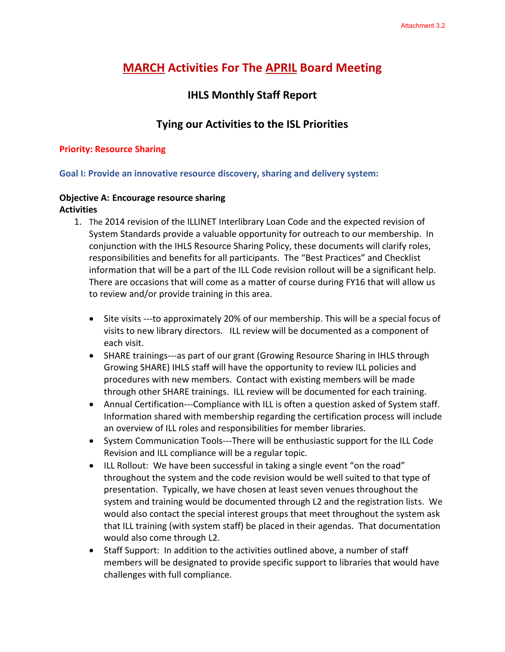# **MARCH Activities For The APRIL Board Meeting**

# **IHLS Monthly Staff Report**

# **Tying our Activities to the ISL Priorities**

#### **Priority: Resource Sharing**

#### **Goal I: Provide an innovative resource discovery, sharing and delivery system:**

#### **Objective A: Encourage resource sharing Activities**

- 1. The 2014 revision of the ILLINET Interlibrary Loan Code and the expected revision of System Standards provide a valuable opportunity for outreach to our membership. In conjunction with the IHLS Resource Sharing Policy, these documents will clarify roles, responsibilities and benefits for all participants. The "Best Practices" and Checklist information that will be a part of the ILL Code revision rollout will be a significant help. There are occasions that will come as a matter of course during FY16 that will allow us to review and/or provide training in this area.
	- Site visits ---to approximately 20% of our membership. This will be a special focus of visits to new library directors. ILL review will be documented as a component of each visit.
	- SHARE trainings---as part of our grant (Growing Resource Sharing in IHLS through Growing SHARE) IHLS staff will have the opportunity to review ILL policies and procedures with new members. Contact with existing members will be made through other SHARE trainings. ILL review will be documented for each training.
	- Annual Certification---Compliance with ILL is often a question asked of System staff. Information shared with membership regarding the certification process will include an overview of ILL roles and responsibilities for member libraries.
	- System Communication Tools---There will be enthusiastic support for the ILL Code Revision and ILL compliance will be a regular topic.
	- ILL Rollout: We have been successful in taking a single event "on the road" throughout the system and the code revision would be well suited to that type of presentation. Typically, we have chosen at least seven venues throughout the system and training would be documented through L2 and the registration lists. We would also contact the special interest groups that meet throughout the system ask that ILL training (with system staff) be placed in their agendas. That documentation would also come through L2.
	- Staff Support: In addition to the activities outlined above, a number of staff members will be designated to provide specific support to libraries that would have challenges with full compliance.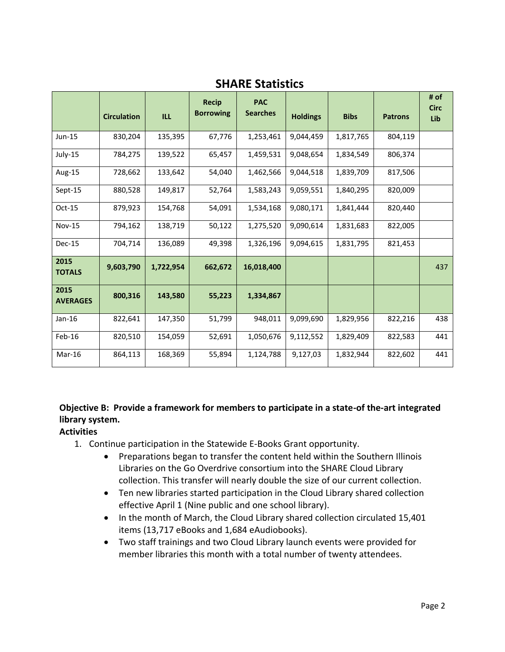|                         | <b>Circulation</b> | <b>ILL</b> | <b>Recip</b><br><b>Borrowing</b> | <b>PAC</b><br><b>Searches</b> | <b>Holdings</b> | <b>Bibs</b> | <b>Patrons</b> | # of<br><b>Circ</b><br>Lib |
|-------------------------|--------------------|------------|----------------------------------|-------------------------------|-----------------|-------------|----------------|----------------------------|
| Jun-15                  | 830,204            | 135,395    | 67,776                           | 1,253,461                     | 9,044,459       | 1,817,765   | 804,119        |                            |
| July-15                 | 784,275            | 139,522    | 65,457                           | 1,459,531                     | 9,048,654       | 1,834,549   | 806,374        |                            |
| Aug-15                  | 728,662            | 133,642    | 54,040                           | 1,462,566                     | 9,044,518       | 1,839,709   | 817,506        |                            |
| Sept-15                 | 880,528            | 149,817    | 52,764                           | 1,583,243                     | 9,059,551       | 1,840,295   | 820,009        |                            |
| Oct-15                  | 879,923            | 154,768    | 54,091                           | 1,534,168                     | 9,080,171       | 1,841,444   | 820,440        |                            |
| <b>Nov-15</b>           | 794,162            | 138,719    | 50,122                           | 1,275,520                     | 9,090,614       | 1,831,683   | 822,005        |                            |
| <b>Dec-15</b>           | 704,714            | 136,089    | 49,398                           | 1,326,196                     | 9,094,615       | 1,831,795   | 821,453        |                            |
| 2015<br><b>TOTALS</b>   | 9,603,790          | 1,722,954  | 662,672                          | 16,018,400                    |                 |             |                | 437                        |
| 2015<br><b>AVERAGES</b> | 800,316            | 143,580    | 55,223                           | 1,334,867                     |                 |             |                |                            |
| Jan-16                  | 822,641            | 147,350    | 51,799                           | 948,011                       | 9,099,690       | 1,829,956   | 822,216        | 438                        |
| Feb-16                  | 820,510            | 154,059    | 52,691                           | 1,050,676                     | 9,112,552       | 1,829,409   | 822,583        | 441                        |
| $Mar-16$                | 864,113            | 168,369    | 55,894                           | 1,124,788                     | 9,127,03        | 1,832,944   | 822,602        | 441                        |

**SHARE Statistics**

# **Objective B: Provide a framework for members to participate in a state-of the-art integrated library system.**

## **Activities**

- 1. Continue participation in the Statewide E-Books Grant opportunity.
	- Preparations began to transfer the content held within the Southern Illinois Libraries on the Go Overdrive consortium into the SHARE Cloud Library collection. This transfer will nearly double the size of our current collection.
	- Ten new libraries started participation in the Cloud Library shared collection effective April 1 (Nine public and one school library).
	- In the month of March, the Cloud Library shared collection circulated 15,401 items (13,717 eBooks and 1,684 eAudiobooks).
	- Two staff trainings and two Cloud Library launch events were provided for member libraries this month with a total number of twenty attendees.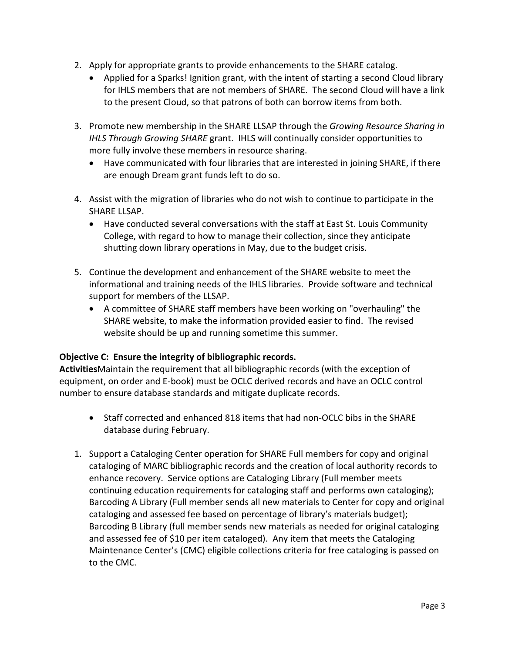- 2. Apply for appropriate grants to provide enhancements to the SHARE catalog.
	- Applied for a Sparks! Ignition grant, with the intent of starting a second Cloud library for IHLS members that are not members of SHARE. The second Cloud will have a link to the present Cloud, so that patrons of both can borrow items from both.
- 3. Promote new membership in the SHARE LLSAP through the *Growing Resource Sharing in IHLS Through Growing SHARE* grant. IHLS will continually consider opportunities to more fully involve these members in resource sharing.
	- Have communicated with four libraries that are interested in joining SHARE, if there are enough Dream grant funds left to do so.
- 4. Assist with the migration of libraries who do not wish to continue to participate in the SHARE LLSAP.
	- Have conducted several conversations with the staff at East St. Louis Community College, with regard to how to manage their collection, since they anticipate shutting down library operations in May, due to the budget crisis.
- 5. Continue the development and enhancement of the SHARE website to meet the informational and training needs of the IHLS libraries. Provide software and technical support for members of the LLSAP.
	- A committee of SHARE staff members have been working on "overhauling" the SHARE website, to make the information provided easier to find. The revised website should be up and running sometime this summer.

#### **Objective C: Ensure the integrity of bibliographic records.**

**Activities**Maintain the requirement that all bibliographic records (with the exception of equipment, on order and E-book) must be OCLC derived records and have an OCLC control number to ensure database standards and mitigate duplicate records.

- Staff corrected and enhanced 818 items that had non-OCLC bibs in the SHARE database during February.
- 1. Support a Cataloging Center operation for SHARE Full members for copy and original cataloging of MARC bibliographic records and the creation of local authority records to enhance recovery. Service options are Cataloging Library (Full member meets continuing education requirements for cataloging staff and performs own cataloging); Barcoding A Library (Full member sends all new materials to Center for copy and original cataloging and assessed fee based on percentage of library's materials budget); Barcoding B Library (full member sends new materials as needed for original cataloging and assessed fee of \$10 per item cataloged). Any item that meets the Cataloging Maintenance Center's (CMC) eligible collections criteria for free cataloging is passed on to the CMC.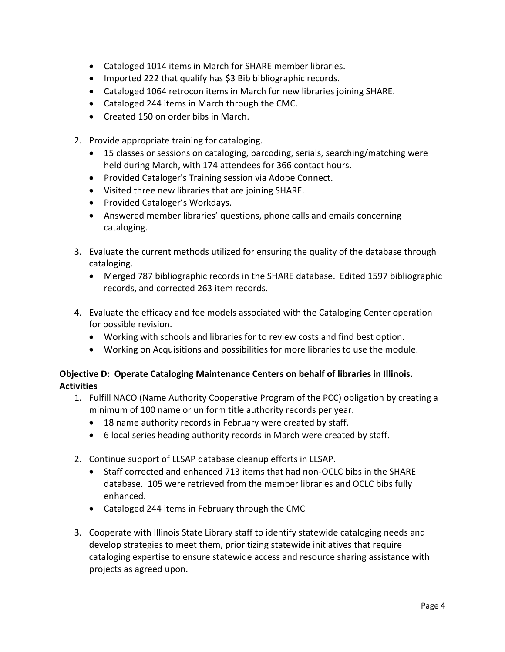- Cataloged 1014 items in March for SHARE member libraries.
- Imported 222 that qualify has \$3 Bib bibliographic records.
- Cataloged 1064 retrocon items in March for new libraries joining SHARE.
- Cataloged 244 items in March through the CMC.
- Created 150 on order bibs in March.
- 2. Provide appropriate training for cataloging.
	- 15 classes or sessions on cataloging, barcoding, serials, searching/matching were held during March, with 174 attendees for 366 contact hours.
	- Provided Cataloger's Training session via Adobe Connect.
	- Visited three new libraries that are joining SHARE.
	- Provided Cataloger's Workdays.
	- Answered member libraries' questions, phone calls and emails concerning cataloging.
- 3. Evaluate the current methods utilized for ensuring the quality of the database through cataloging.
	- Merged 787 bibliographic records in the SHARE database. Edited 1597 bibliographic records, and corrected 263 item records.
- 4. Evaluate the efficacy and fee models associated with the Cataloging Center operation for possible revision.
	- Working with schools and libraries for to review costs and find best option.
	- Working on Acquisitions and possibilities for more libraries to use the module.

## **Objective D: Operate Cataloging Maintenance Centers on behalf of libraries in Illinois. Activities**

- 1. Fulfill NACO (Name Authority Cooperative Program of the PCC) obligation by creating a minimum of 100 name or uniform title authority records per year.
	- 18 name authority records in February were created by staff.
	- 6 local series heading authority records in March were created by staff.
- 2. Continue support of LLSAP database cleanup efforts in LLSAP.
	- Staff corrected and enhanced 713 items that had non-OCLC bibs in the SHARE database. 105 were retrieved from the member libraries and OCLC bibs fully enhanced.
	- Cataloged 244 items in February through the CMC
- 3. Cooperate with Illinois State Library staff to identify statewide cataloging needs and develop strategies to meet them, prioritizing statewide initiatives that require cataloging expertise to ensure statewide access and resource sharing assistance with projects as agreed upon.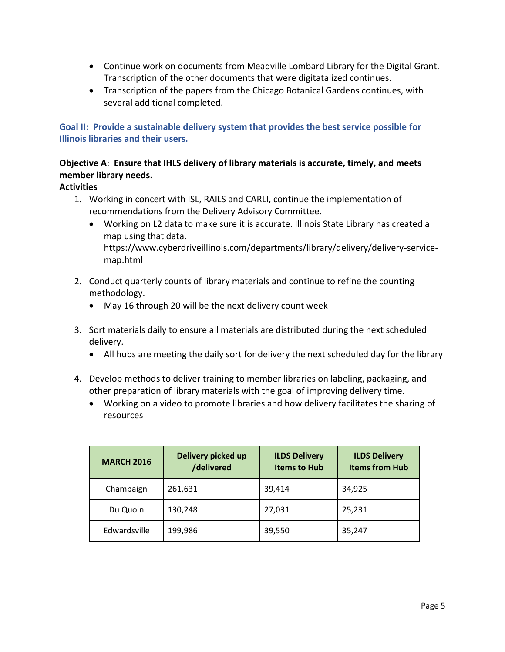- Continue work on documents from Meadville Lombard Library for the Digital Grant. Transcription of the other documents that were digitatalized continues.
- Transcription of the papers from the Chicago Botanical Gardens continues, with several additional completed.

**Goal II: Provide a sustainable delivery system that provides the best service possible for Illinois libraries and their users.** 

# **Objective A**: **Ensure that IHLS delivery of library materials is accurate, timely, and meets member library needs.**

## **Activities**

- 1. Working in concert with ISL, RAILS and CARLI, continue the implementation of recommendations from the Delivery Advisory Committee.
	- Working on L2 data to make sure it is accurate. Illinois State Library has created a map using that data. https://www.cyberdriveillinois.com/departments/library/delivery/delivery-servicemap.html
- 2. Conduct quarterly counts of library materials and continue to refine the counting methodology.
	- May 16 through 20 will be the next delivery count week
- 3. Sort materials daily to ensure all materials are distributed during the next scheduled delivery.
	- All hubs are meeting the daily sort for delivery the next scheduled day for the library
- 4. Develop methods to deliver training to member libraries on labeling, packaging, and other preparation of library materials with the goal of improving delivery time.
	- Working on a video to promote libraries and how delivery facilitates the sharing of resources

| <b>MARCH 2016</b> | Delivery picked up<br>/delivered | <b>ILDS Delivery</b><br><b>Items to Hub</b> | <b>ILDS Delivery</b><br><b>Items from Hub</b> |  |
|-------------------|----------------------------------|---------------------------------------------|-----------------------------------------------|--|
| Champaign         | 261,631                          | 39,414                                      | 34,925                                        |  |
| Du Quoin          | 130,248                          | 27,031                                      | 25,231                                        |  |
| Edwardsville      | 199,986                          | 39,550                                      | 35,247                                        |  |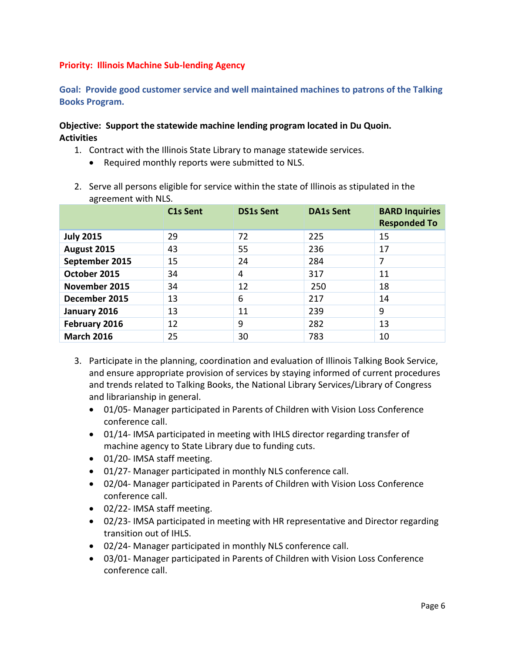## **Priority: Illinois Machine Sub-lending Agency**

**Goal: Provide good customer service and well maintained machines to patrons of the Talking Books Program.** 

#### **Objective: Support the statewide machine lending program located in Du Quoin. Activities**

- 1. Contract with the Illinois State Library to manage statewide services.
	- Required monthly reports were submitted to NLS.
- 2. Serve all persons eligible for service within the state of Illinois as stipulated in the agreement with NLS.

|                   | C <sub>1</sub> s Sent | <b>DS1s Sent</b> | <b>DA1s Sent</b> | <b>BARD Inquiries</b><br><b>Responded To</b> |
|-------------------|-----------------------|------------------|------------------|----------------------------------------------|
| <b>July 2015</b>  | 29                    | 72               | 225              | 15                                           |
| August 2015       | 43                    | 55               | 236              | 17                                           |
| September 2015    | 15                    | 24               | 284              | 7                                            |
| October 2015      | 34                    | 4                | 317              | 11                                           |
| November 2015     | 34                    | 12               | 250              | 18                                           |
| December 2015     | 13                    | 6                | 217              | 14                                           |
| January 2016      | 13                    | 11               | 239              | 9                                            |
| February 2016     | 12                    | 9                | 282              | 13                                           |
| <b>March 2016</b> | 25                    | 30               | 783              | 10                                           |

- 3. Participate in the planning, coordination and evaluation of Illinois Talking Book Service, and ensure appropriate provision of services by staying informed of current procedures and trends related to Talking Books, the National Library Services/Library of Congress and librarianship in general.
	- 01/05- Manager participated in Parents of Children with Vision Loss Conference conference call.
	- 01/14- IMSA participated in meeting with IHLS director regarding transfer of machine agency to State Library due to funding cuts.
	- 01/20- IMSA staff meeting.
	- 01/27- Manager participated in monthly NLS conference call.
	- 02/04- Manager participated in Parents of Children with Vision Loss Conference conference call.
	- 02/22- IMSA staff meeting.
	- 02/23- IMSA participated in meeting with HR representative and Director regarding transition out of IHLS.
	- 02/24- Manager participated in monthly NLS conference call.
	- 03/01- Manager participated in Parents of Children with Vision Loss Conference conference call.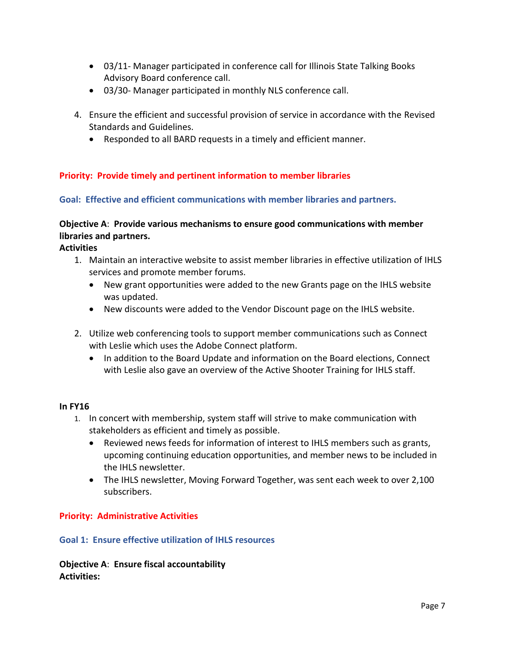- 03/11- Manager participated in conference call for Illinois State Talking Books Advisory Board conference call.
- 03/30- Manager participated in monthly NLS conference call.
- 4. Ensure the efficient and successful provision of service in accordance with the Revised Standards and Guidelines.
	- Responded to all BARD requests in a timely and efficient manner.

### **Priority: Provide timely and pertinent information to member libraries**

#### **Goal: Effective and efficient communications with member libraries and partners.**

## **Objective A**: **Provide various mechanisms to ensure good communications with member libraries and partners.**

**Activities**

- 1. Maintain an interactive website to assist member libraries in effective utilization of IHLS services and promote member forums.
	- New grant opportunities were added to the new Grants page on the IHLS website was updated.
	- New discounts were added to the Vendor Discount page on the IHLS website.
- 2. Utilize web conferencing tools to support member communications such as Connect with Leslie which uses the Adobe Connect platform.
	- In addition to the Board Update and information on the Board elections, Connect with Leslie also gave an overview of the Active Shooter Training for IHLS staff.

#### **In FY16**

- 1. In concert with membership, system staff will strive to make communication with stakeholders as efficient and timely as possible.
	- Reviewed news feeds for information of interest to IHLS members such as grants, upcoming continuing education opportunities, and member news to be included in the IHLS newsletter.
	- The IHLS newsletter, Moving Forward Together, was sent each week to over 2,100 subscribers.

#### **Priority: Administrative Activities**

#### **Goal 1: Ensure effective utilization of IHLS resources**

**Objective A**: **Ensure fiscal accountability Activities:**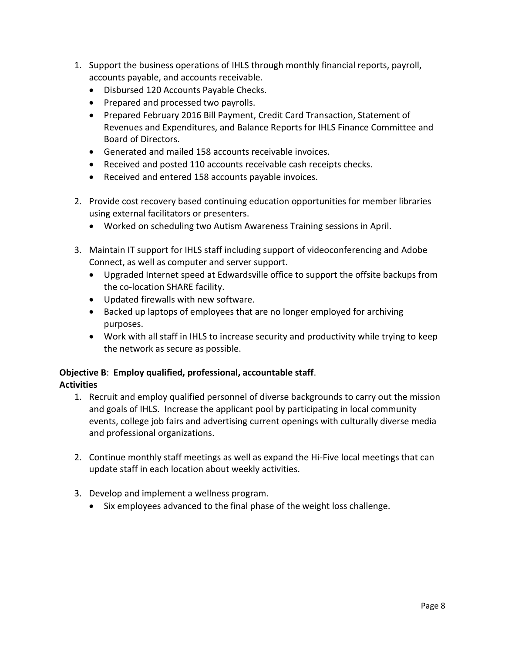- 1. Support the business operations of IHLS through monthly financial reports, payroll, accounts payable, and accounts receivable.
	- Disbursed 120 Accounts Payable Checks.
	- Prepared and processed two payrolls.
	- Prepared February 2016 Bill Payment, Credit Card Transaction, Statement of Revenues and Expenditures, and Balance Reports for IHLS Finance Committee and Board of Directors.
	- Generated and mailed 158 accounts receivable invoices.
	- Received and posted 110 accounts receivable cash receipts checks.
	- Received and entered 158 accounts payable invoices.
- 2. Provide cost recovery based continuing education opportunities for member libraries using external facilitators or presenters.
	- Worked on scheduling two Autism Awareness Training sessions in April.
- 3. Maintain IT support for IHLS staff including support of videoconferencing and Adobe Connect, as well as computer and server support.
	- Upgraded Internet speed at Edwardsville office to support the offsite backups from the co-location SHARE facility.
	- Updated firewalls with new software.
	- Backed up laptops of employees that are no longer employed for archiving purposes.
	- Work with all staff in IHLS to increase security and productivity while trying to keep the network as secure as possible.

#### **Objective B**: **Employ qualified, professional, accountable staff**. **Activities**

- 1. Recruit and employ qualified personnel of diverse backgrounds to carry out the mission and goals of IHLS. Increase the applicant pool by participating in local community events, college job fairs and advertising current openings with culturally diverse media and professional organizations.
- 2. Continue monthly staff meetings as well as expand the Hi-Five local meetings that can update staff in each location about weekly activities.
- 3. Develop and implement a wellness program.
	- Six employees advanced to the final phase of the weight loss challenge.